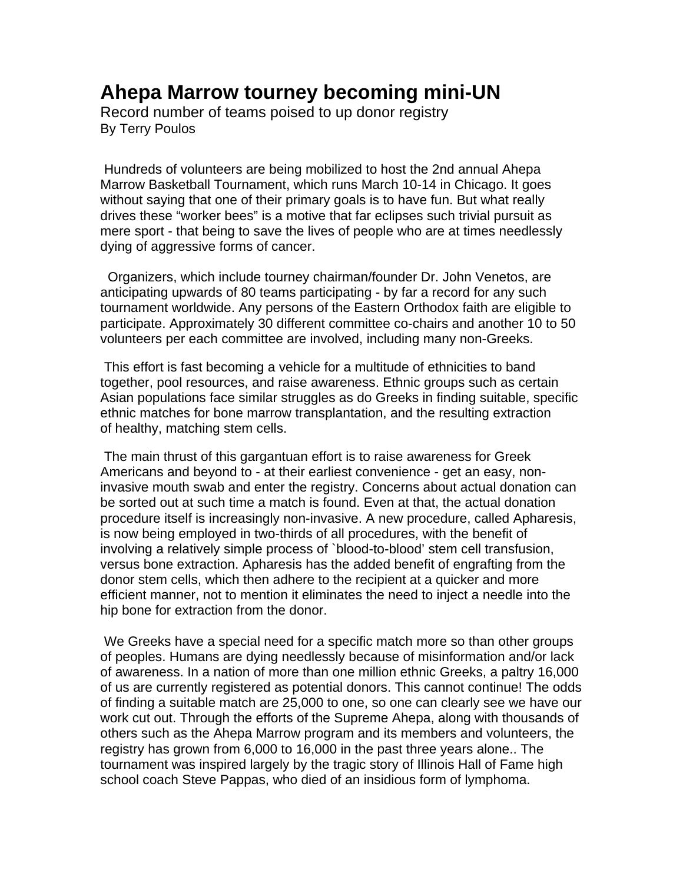## **Ahepa Marrow tourney becoming mini-UN**

Record number of teams poised to up donor registry By Terry Poulos

 Hundreds of volunteers are being mobilized to host the 2nd annual Ahepa Marrow Basketball Tournament, which runs March 10-14 in Chicago. It goes without saying that one of their primary goals is to have fun. But what really drives these "worker bees" is a motive that far eclipses such trivial pursuit as mere sport - that being to save the lives of people who are at times needlessly dying of aggressive forms of cancer.

 Organizers, which include tourney chairman/founder Dr. John Venetos, are anticipating upwards of 80 teams participating - by far a record for any such tournament worldwide. Any persons of the Eastern Orthodox faith are eligible to participate. Approximately 30 different committee co-chairs and another 10 to 50 volunteers per each committee are involved, including many non-Greeks.

 This effort is fast becoming a vehicle for a multitude of ethnicities to band together, pool resources, and raise awareness. Ethnic groups such as certain Asian populations face similar struggles as do Greeks in finding suitable, specific ethnic matches for bone marrow transplantation, and the resulting extraction of healthy, matching stem cells.

 The main thrust of this gargantuan effort is to raise awareness for Greek Americans and beyond to - at their earliest convenience - get an easy, noninvasive mouth swab and enter the registry. Concerns about actual donation can be sorted out at such time a match is found. Even at that, the actual donation procedure itself is increasingly non-invasive. A new procedure, called Apharesis, is now being employed in two-thirds of all procedures, with the benefit of involving a relatively simple process of `blood-to-blood' stem cell transfusion, versus bone extraction. Apharesis has the added benefit of engrafting from the donor stem cells, which then adhere to the recipient at a quicker and more efficient manner, not to mention it eliminates the need to inject a needle into the hip bone for extraction from the donor.

 We Greeks have a special need for a specific match more so than other groups of peoples. Humans are dying needlessly because of misinformation and/or lack of awareness. In a nation of more than one million ethnic Greeks, a paltry 16,000 of us are currently registered as potential donors. This cannot continue! The odds of finding a suitable match are 25,000 to one, so one can clearly see we have our work cut out. Through the efforts of the Supreme Ahepa, along with thousands of others such as the Ahepa Marrow program and its members and volunteers, the registry has grown from 6,000 to 16,000 in the past three years alone.. The tournament was inspired largely by the tragic story of Illinois Hall of Fame high school coach Steve Pappas, who died of an insidious form of lymphoma.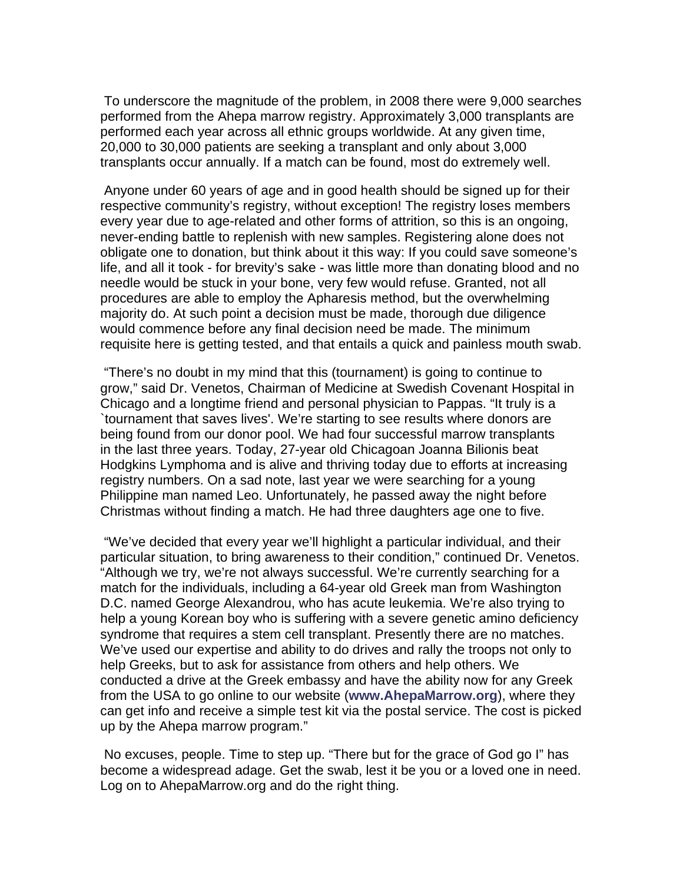To underscore the magnitude of the problem, in 2008 there were 9,000 searches performed from the Ahepa marrow registry. Approximately 3,000 transplants are performed each year across all ethnic groups worldwide. At any given time, 20,000 to 30,000 patients are seeking a transplant and only about 3,000 transplants occur annually. If a match can be found, most do extremely well.

 Anyone under 60 years of age and in good health should be signed up for their respective community's registry, without exception! The registry loses members every year due to age-related and other forms of attrition, so this is an ongoing, never-ending battle to replenish with new samples. Registering alone does not obligate one to donation, but think about it this way: If you could save someone's life, and all it took - for brevity's sake - was little more than donating blood and no needle would be stuck in your bone, very few would refuse. Granted, not all procedures are able to employ the Apharesis method, but the overwhelming majority do. At such point a decision must be made, thorough due diligence would commence before any final decision need be made. The minimum requisite here is getting tested, and that entails a quick and painless mouth swab.

 "There's no doubt in my mind that this (tournament) is going to continue to grow," said Dr. Venetos, Chairman of Medicine at Swedish Covenant Hospital in Chicago and a longtime friend and personal physician to Pappas. "It truly is a `tournament that saves lives'. We're starting to see results where donors are being found from our donor pool. We had four successful marrow transplants in the last three years. Today, 27-year old Chicagoan Joanna Bilionis beat Hodgkins Lymphoma and is alive and thriving today due to efforts at increasing registry numbers. On a sad note, last year we were searching for a young Philippine man named Leo. Unfortunately, he passed away the night before Christmas without finding a match. He had three daughters age one to five.

 "We've decided that every year we'll highlight a particular individual, and their particular situation, to bring awareness to their condition," continued Dr. Venetos. "Although we try, we're not always successful. We're currently searching for a match for the individuals, including a 64-year old Greek man from Washington D.C. named George Alexandrou, who has acute leukemia. We're also trying to help a young Korean boy who is suffering with a severe genetic amino deficiency syndrome that requires a stem cell transplant. Presently there are no matches. We've used our expertise and ability to do drives and rally the troops not only to help Greeks, but to ask for assistance from others and help others. We conducted a drive at the Greek embassy and have the ability now for any Greek from the USA to go online to our website (**www.AhepaMarrow.org**), where they can get info and receive a simple test kit via the postal service. The cost is picked up by the Ahepa marrow program."

 No excuses, people. Time to step up. "There but for the grace of God go I" has become a widespread adage. Get the swab, lest it be you or a loved one in need. Log on to AhepaMarrow.org and do the right thing.